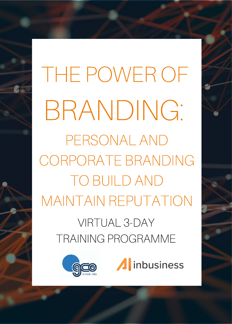THE POWER OF BRANDING: PERSONAL AND CORPORATE BRANDING TO BUILD AND MAINTAIN REPUTATION VIRTUAL 3-DAY TRAINING PROGRAMME



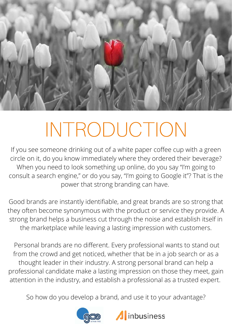

# INTRODUCTION

If you see someone drinking out of a white paper coffee cup with a green circle on it, do you know immediately where they ordered their beverage? When you need to look something up online, do you say "I'm going to consult a search engine," or do you say, "I'm going to Google it"? That is the power that strong branding can have.

Good brands are instantly identifiable, and great brands are so strong that they often become synonymous with the product or service they provide. A strong brand helps a business cut through the noise and establish itself in the marketplace while leaving a lasting impression with customers.

Personal brands are no different. Every professional wants to stand out from the crowd and get noticed, whether that be in a job search or as a thought leader in their industry. A strong personal brand can help a professional candidate make a lasting impression on those they meet, gain attention in the industry, and establish a professional as a trusted expert.

So how do you develop a brand, and use it to your advantage?



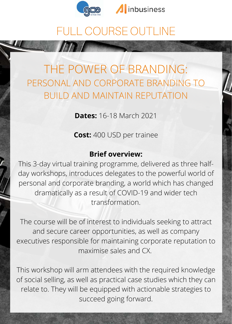

 $m$ 



# FULL COURSE OUTLINE

THE POWER OF BRANDING: PERSONAL AND CORPORATE BRANDING TO BUILD AND MAINTAIN REPUTATION

**Dates:** 16-18 March 2021

**Cost:** 400 USD per trainee

#### **Brief overview:**

This 3-day virtual training programme, delivered as three halfday workshops, introduces delegates to the powerful world of personal and corporate branding, a world which has changed dramatically as a result of COVID-19 and wider tech transformation.

The course will be of interest to individuals seeking to attract and secure career opportunities, as well as company executives responsible for maintaining corporate reputation to maximise sales and CX.

This workshop will arm attendees with the required knowledge of social selling, as well as practical case studies which they can relate to. They will be equipped with actionable strategies to succeed going forward.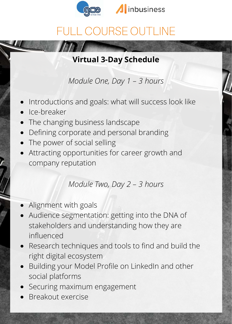



# FULL COURSE OUTLINE

### **Virtual 3-Day Schedule**

*Module One, Day 1 – 3 hours*

- Introductions and goals: what will success look like
- Ice-breaker
- The changing business landscape
- Defining corporate and personal branding
- The power of social selling
- Attracting opportunities for career growth and company reputation

#### *Module Two, Day 2 – 3 hours*

- Alignment with goals
- Audience segmentation: getting into the DNA of stakeholders and understanding how they are influenced
- Research techniques and tools to find and build the right digital ecosystem
- Building your Model Profile on LinkedIn and other social platforms
- Securing maximum engagement
- Breakout exercise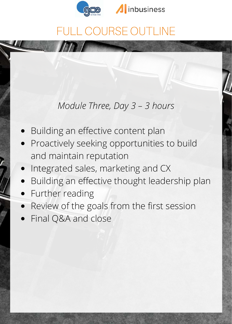



# COURSE OUTLINE

### *Module Three, Day 3 – 3 hours*

- Building an effective content plan
- Proactively seeking opportunities to build and maintain reputation
- Integrated sales, marketing and CX
- Building an effective thought leadership plan
- Further reading
- Review of the goals from the first session
- Final Q&A and close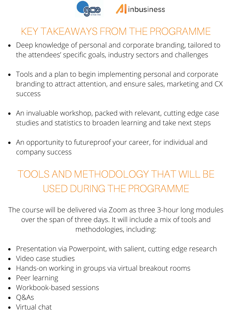

## KEY TAKEAWAYS FROM THE PROGRAMME

- Deep knowledge of personal and corporate branding, tailored to the attendees' specific goals, industry sectors and challenges
- Tools and a plan to begin implementing personal and corporate branding to attract attention, and ensure sales, marketing and CX success
- An invaluable workshop, packed with relevant, cutting edge case studies and statistics to broaden learning and take next steps
- An opportunity to futureproof your career, for individual and company success

## TOOLS AND METHODOLOGY THAT WILL BE USED DURING THE PROGRAMME

The course will be delivered via Zoom as three 3-hour long modules over the span of three days. It will include a mix of tools and methodologies, including:

- Presentation via Powerpoint, with salient, cutting edge research
- Video case studies
- Hands-on working in groups via virtual breakout rooms
- Peer learning
- Workbook-based sessions
- Q&As
- Virtual chat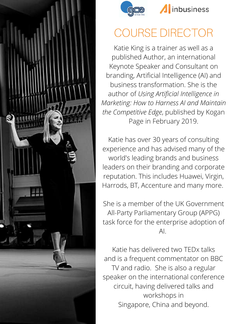



## *A*linbusiness

# COURSE DIRECTOR

Katie King is a trainer as well as a published Author, an international Keynote Speaker and Consultant on branding, Artificial Intelligence (AI) and business transformation. She is the author of *Using Artificial Intelligence in Marketing: How to Harness AI and Maintain the Competitive Edge*, published by Kogan Page in February 2019.

Katie has over 30 years of consulting experience and has advised many of the world's leading brands and business leaders on their branding and corporate reputation. This includes Huawei, Virgin, Harrods, BT, Accenture and many more.

She is a member of the UK Government All-Party Parliamentary Group (APPG) task force for the enterprise adoption of AI.

Katie has delivered two TEDx talks and is a frequent commentator on BBC TV and radio. She is also a regular speaker on the international conference circuit, having delivered talks and workshops in Singapore, China and beyond.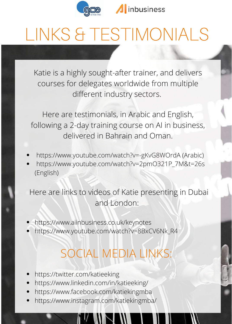

*A* inbusiness

# LINKS & TESTIMONIALS

Katie is a highly sought-after trainer, and delivers courses for delegates worldwide from multiple different industry sectors.

Here are testimonials, in Arabic and English, following a 2-day training course on AI in business, delivered in Bahrain and Oman.

- https://www.youtube.com/watch?v=-gKvG8WOrdA (Arabic)
- https://www.youtube.com/watch?v=2pmO321P\_7M&t=26s (English)

Here are links to videos of Katie presenting in Dubai and London:

- https://www.aiinbusiness.co.uk/keynotes
- https://www.youtube.com/watch?v=8BxCV6Nk\_R4

# SOCIAL MEDIA LINKS:

- https://twitter.com/katieeking
- https://www.linkedin.com/in/katieeking/
- https://www.facebook.com/katiekingmba
- https://www.instagram.com/katiekingmba/